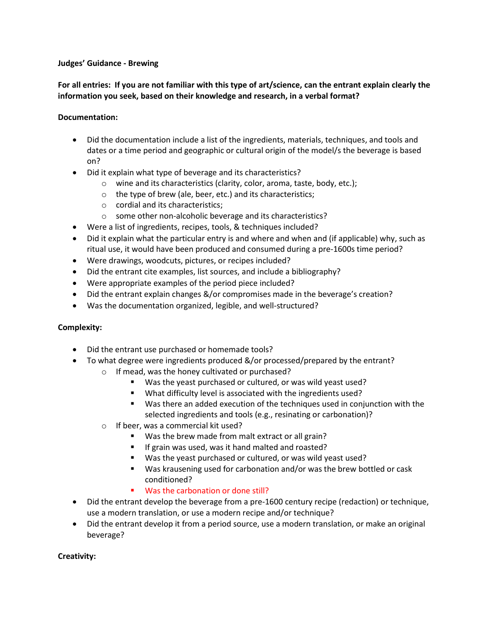#### **Judges' Guidance - Brewing**

# **For all entries: If you are not familiar with this type of art/science, can the entrant explain clearly the information you seek, based on their knowledge and research, in a verbal format?**

### **Documentation:**

- Did the documentation include a list of the ingredients, materials, techniques, and tools and dates or a time period and geographic or cultural origin of the model/s the beverage is based on?
- Did it explain what type of beverage and its characteristics?
	- o wine and its characteristics (clarity, color, aroma, taste, body, etc.);
	- o the type of brew (ale, beer, etc.) and its characteristics;
	- o cordial and its characteristics;
	- o some other non-alcoholic beverage and its characteristics?
- Were a list of ingredients, recipes, tools, & techniques included?
- Did it explain what the particular entry is and where and when and (if applicable) why, such as ritual use, it would have been produced and consumed during a pre-1600s time period?
- Were drawings, woodcuts, pictures, or recipes included?
- Did the entrant cite examples, list sources, and include a bibliography?
- Were appropriate examples of the period piece included?
- Did the entrant explain changes &/or compromises made in the beverage's creation?
- Was the documentation organized, legible, and well-structured?

#### **Complexity:**

- Did the entrant use purchased or homemade tools?
- To what degree were ingredients produced &/or processed/prepared by the entrant?
	- o If mead, was the honey cultivated or purchased?
		- Was the yeast purchased or cultured, or was wild yeast used?
		- What difficulty level is associated with the ingredients used?
		- Was there an added execution of the techniques used in conjunction with the selected ingredients and tools (e.g., resinating or carbonation)?
	- o If beer, was a commercial kit used?
		- Was the brew made from malt extract or all grain?
		- **If grain was used, was it hand malted and roasted?**
		- Was the yeast purchased or cultured, or was wild yeast used?
		- Was krausening used for carbonation and/or was the brew bottled or cask conditioned?
		- Was the carbonation or done still?
- Did the entrant develop the beverage from a pre-1600 century recipe (redaction) or technique, use a modern translation, or use a modern recipe and/or technique?
- Did the entrant develop it from a period source, use a modern translation, or make an original beverage?

#### **Creativity:**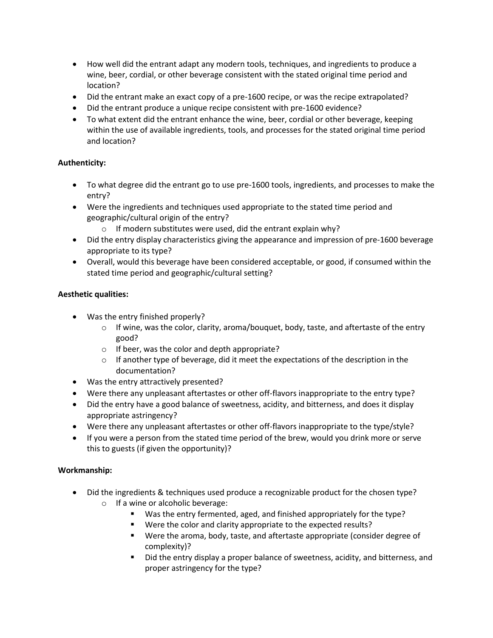- How well did the entrant adapt any modern tools, techniques, and ingredients to produce a wine, beer, cordial, or other beverage consistent with the stated original time period and location?
- Did the entrant make an exact copy of a pre-1600 recipe, or was the recipe extrapolated?
- Did the entrant produce a unique recipe consistent with pre-1600 evidence?
- To what extent did the entrant enhance the wine, beer, cordial or other beverage, keeping within the use of available ingredients, tools, and processes for the stated original time period and location?

# **Authenticity:**

- To what degree did the entrant go to use pre-1600 tools, ingredients, and processes to make the entry?
- Were the ingredients and techniques used appropriate to the stated time period and geographic/cultural origin of the entry?
	- o If modern substitutes were used, did the entrant explain why?
- Did the entry display characteristics giving the appearance and impression of pre-1600 beverage appropriate to its type?
- Overall, would this beverage have been considered acceptable, or good, if consumed within the stated time period and geographic/cultural setting?

### **Aesthetic qualities:**

- Was the entry finished properly?
	- $\circ$  If wine, was the color, clarity, aroma/bouquet, body, taste, and aftertaste of the entry good?
	- o If beer, was the color and depth appropriate?
	- $\circ$  If another type of beverage, did it meet the expectations of the description in the documentation?
- Was the entry attractively presented?
- Were there any unpleasant aftertastes or other off-flavors inappropriate to the entry type?
- Did the entry have a good balance of sweetness, acidity, and bitterness, and does it display appropriate astringency?
- Were there any unpleasant aftertastes or other off-flavors inappropriate to the type/style?
- If you were a person from the stated time period of the brew, would you drink more or serve this to guests (if given the opportunity)?

#### **Workmanship:**

- Did the ingredients & techniques used produce a recognizable product for the chosen type?  $\circ$  If a wine or alcoholic beverage:
	- Was the entry fermented, aged, and finished appropriately for the type?
	- Were the color and clarity appropriate to the expected results?
	- Were the aroma, body, taste, and aftertaste appropriate (consider degree of complexity)?
	- Did the entry display a proper balance of sweetness, acidity, and bitterness, and proper astringency for the type?